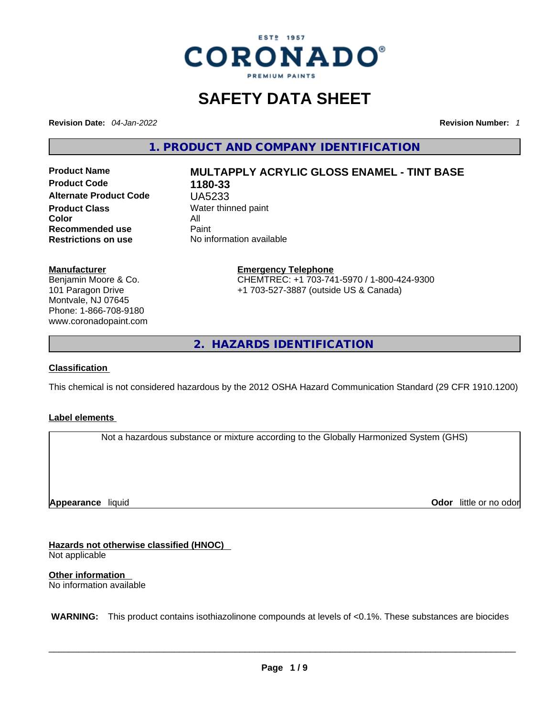

# **SAFETY DATA SHEET**

**Revision Date:** *04-Jan-2022* **Revision Number:** *1*

**1. PRODUCT AND COMPANY IDENTIFICATION** 

**Product Code 1180-33 Alternate Product Code** UA5233 **Product Class Water thinned paint**<br> **Color Color** All **Recommended use Paint Restrictions on use** No information available

# **Product Name MULTAPPLY ACRYLIC GLOSS ENAMEL - TINT BASE**

#### **Manufacturer**

Benjamin Moore & Co. 101 Paragon Drive Montvale, NJ 07645 Phone: 1-866-708-9180 www.coronadopaint.com

# **Emergency Telephone** CHEMTREC: +1 703-741-5970 / 1-800-424-9300

+1 703-527-3887 (outside US & Canada)

**2. HAZARDS IDENTIFICATION** 

#### **Classification**

This chemical is not considered hazardous by the 2012 OSHA Hazard Communication Standard (29 CFR 1910.1200)

#### **Label elements**

Not a hazardous substance or mixture according to the Globally Harmonized System (GHS)

**Appearance** liquid

**Odor** little or no odor

**Hazards not otherwise classified (HNOC)**  Not applicable

**Other information**  No information available

 **WARNING:** This product contains isothiazolinone compounds at levels of <0.1%. These substances are biocides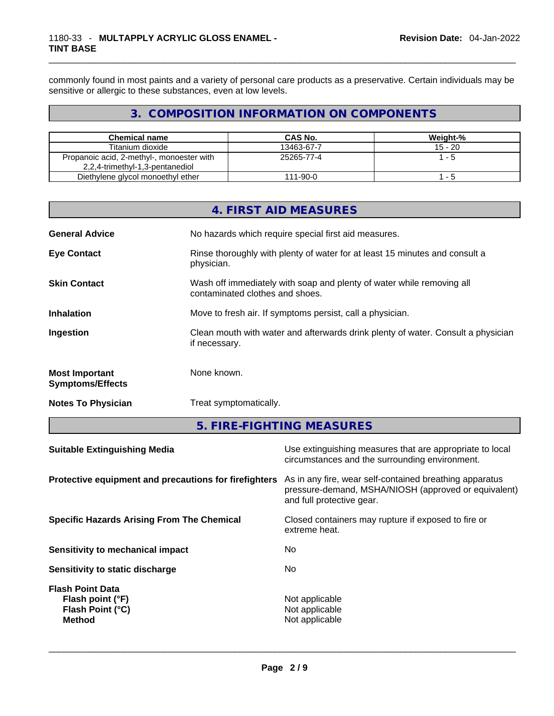commonly found in most paints and a variety of personal care products as a preservative. Certain individuals may be sensitive or allergic to these substances, even at low levels.

# **3. COMPOSITION INFORMATION ON COMPONENTS**

| <b>Chemical name</b>                      | CAS No.    | Weight-%  |
|-------------------------------------------|------------|-----------|
| Titanium dioxide                          | 13463-67-7 | $15 - 20$ |
| Propanoic acid, 2-methyl-, monoester with | 25265-77-4 | 1 - 5     |
| 2,2,4-trimethyl-1,3-pentanediol           |            |           |
| Diethylene glycol monoethyl ether         | 111-90-0   | - 5       |

|                                                  | 4. FIRST AID MEASURES                                                                                    |
|--------------------------------------------------|----------------------------------------------------------------------------------------------------------|
| <b>General Advice</b>                            | No hazards which require special first aid measures.                                                     |
| <b>Eye Contact</b>                               | Rinse thoroughly with plenty of water for at least 15 minutes and consult a<br>physician.                |
| <b>Skin Contact</b>                              | Wash off immediately with soap and plenty of water while removing all<br>contaminated clothes and shoes. |
| <b>Inhalation</b>                                | Move to fresh air. If symptoms persist, call a physician.                                                |
| Ingestion                                        | Clean mouth with water and afterwards drink plenty of water. Consult a physician<br>if necessary.        |
| <b>Most Important</b><br><b>Symptoms/Effects</b> | None known.                                                                                              |
| <b>Notes To Physician</b>                        | Treat symptomatically.                                                                                   |
|                                                  |                                                                                                          |

**5. FIRE-FIGHTING MEASURES** 

| Use extinguishing measures that are appropriate to local<br>circumstances and the surrounding environment.                                                                                            |
|-------------------------------------------------------------------------------------------------------------------------------------------------------------------------------------------------------|
| Protective equipment and precautions for firefighters<br>As in any fire, wear self-contained breathing apparatus<br>pressure-demand, MSHA/NIOSH (approved or equivalent)<br>and full protective gear. |
| Closed containers may rupture if exposed to fire or<br>extreme heat.                                                                                                                                  |
| No.                                                                                                                                                                                                   |
| No.                                                                                                                                                                                                   |
| Not applicable<br>Not applicable<br>Not applicable                                                                                                                                                    |
|                                                                                                                                                                                                       |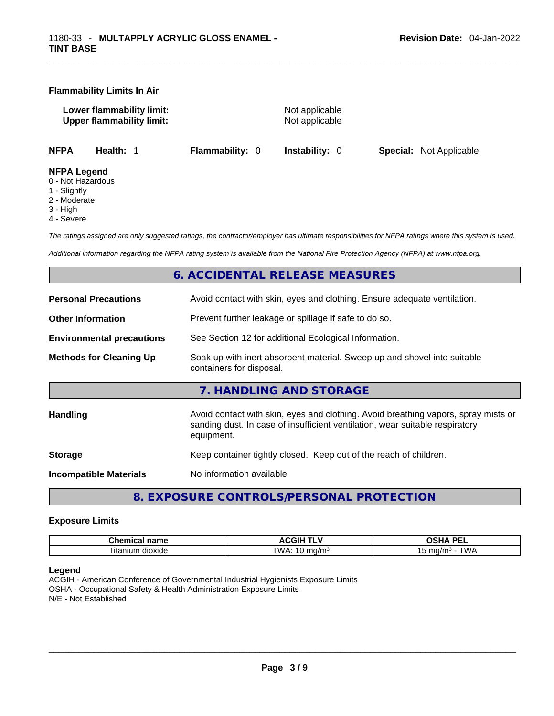#### **Flammability Limits In Air**

**Lower flammability limit:** Not applicable **Upper flammability limit:** Not applicable

**NFPA Health:** 1 **Flammability:** 0 **Instability:** 0 **Special:** Not Applicable

#### **NFPA Legend**

- 0 Not Hazardous
- 1 Slightly
- 2 Moderate
- 3 High
- 4 Severe

*The ratings assigned are only suggested ratings, the contractor/employer has ultimate responsibilities for NFPA ratings where this system is used.* 

*Additional information regarding the NFPA rating system is available from the National Fire Protection Agency (NFPA) at www.nfpa.org.* 

# **6. ACCIDENTAL RELEASE MEASURES**

| <b>Personal Precautions</b>      | Avoid contact with skin, eyes and clothing. Ensure adequate ventilation.                                                                                                         |
|----------------------------------|----------------------------------------------------------------------------------------------------------------------------------------------------------------------------------|
| <b>Other Information</b>         | Prevent further leakage or spillage if safe to do so.                                                                                                                            |
| <b>Environmental precautions</b> | See Section 12 for additional Ecological Information.                                                                                                                            |
| <b>Methods for Cleaning Up</b>   | Soak up with inert absorbent material. Sweep up and shovel into suitable<br>containers for disposal.                                                                             |
|                                  | 7. HANDLING AND STORAGE                                                                                                                                                          |
|                                  |                                                                                                                                                                                  |
| Handling                         | Avoid contact with skin, eyes and clothing. Avoid breathing vapors, spray mists or<br>sanding dust. In case of insufficient ventilation, wear suitable respiratory<br>equipment. |
| <b>Storage</b>                   | Keep container tightly closed. Keep out of the reach of children.                                                                                                                |

**8. EXPOSURE CONTROLS/PERSONAL PROTECTION** 

#### **Exposure Limits**

| <b>Chemical name</b> | <b>ACGIH TLV</b><br>. . | <b>DEI</b><br>$\sim$ $\sim$ $\sim$<br>ת ו<br><u>эп, </u><br>-- |
|----------------------|-------------------------|----------------------------------------------------------------|
| dioxide<br>⊣tanıum   | ™∆<br>na/m<br>. .       | T111<br>ma/m<br>.<br>ں ا<br><b>v</b> v                         |

#### **Legend**

ACGIH - American Conference of Governmental Industrial Hygienists Exposure Limits OSHA - Occupational Safety & Health Administration Exposure Limits N/E - Not Established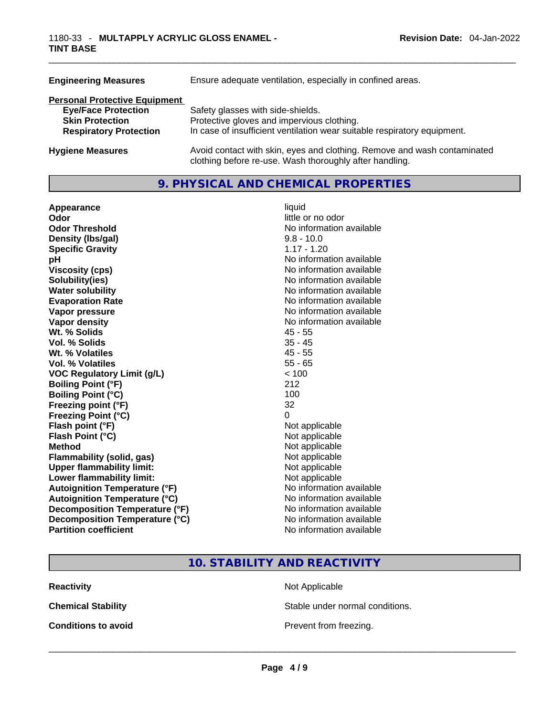| <b>Engineering Measures</b>          | Ensure adequate ventilation, especially in confined areas.                                                                          |
|--------------------------------------|-------------------------------------------------------------------------------------------------------------------------------------|
| <b>Personal Protective Equipment</b> |                                                                                                                                     |
| <b>Eye/Face Protection</b>           | Safety glasses with side-shields.                                                                                                   |
| <b>Skin Protection</b>               | Protective gloves and impervious clothing.                                                                                          |
| <b>Respiratory Protection</b>        | In case of insufficient ventilation wear suitable respiratory equipment.                                                            |
| <b>Hygiene Measures</b>              | Avoid contact with skin, eyes and clothing. Remove and wash contaminated<br>clothing before re-use. Wash thoroughly after handling. |

# **9. PHYSICAL AND CHEMICAL PROPERTIES**

**Appearance** liquid **Odor Odor Odor Odor Odor** *little or no odor little or no odor* **Odor Threshold**<br> **Density (Ibs/gal)**<br> **Density (Ibs/gal)**<br> **No information available**<br>  $9.8 - 10.0$ **Density (Ibs/gal)** 9.8 - 10.0<br> **Specific Gravity** 1.17 - 1.20 **Specific Gravity pH pH No** information available **Viscosity (cps) Viscosity (cps) No information available Solubility(ies)** No information available **Water solubility Water solubility Water solubility No information available Evaporation Rate No information available No information available Vapor pressure No information available No information available Vapor density No information available No information available Wt. % Solids** 45 - 55 **Vol. % Solids** 35 - 45 **Wt. % Volatiles** 45 - 55 **Vol. % Volatiles VOC Regulatory Limit (g/L)** < 100 **Boiling Point (°F)** 212 **Boiling Point (°C)** 100<br> **Preezing point (°F)** 32 **Freezing point (°F) Freezing Point (°C)** 0 **Flash point (°F)** Not applicable **Flash Point (°C)** Not applicable **Method** Not applicable **Flammability (solid, gas)**<br> **Upper flammability limit:**<br>
Upper flammability limit:<br>  $\begin{array}{ccc}\n\bullet & \bullet & \bullet \\
\bullet & \bullet & \bullet\n\end{array}$ **Upper flammability limit:**<br> **Lower flammability limit:**<br>
Not applicable<br>
Not applicable **Lower flammability limit:**<br> **Autoignition Temperature (°F)** Not applicable havailable **Autoignition Temperature (°F) Autoignition Temperature (°C)** No information available **Decomposition Temperature (°F)** No information available **Decomposition Temperature (°C)** No information available **Partition coefficient Contract Contract Contract Contract Contract Contract Contract Contract Contract Contract Contract Contract Contract Contract Contract Contract Contract Contract Contract Contract Contract Contract** 

# **10. STABILITY AND REACTIVITY**

**Conditions to avoid**<br> **Conditions to** avoid<br> **Example 2 Example 2 Conditions to avoid Prevent from freezing.** 

**Reactivity Not Applicable Not Applicable** 

**Chemical Stability Chemical Stability** Stable under normal conditions.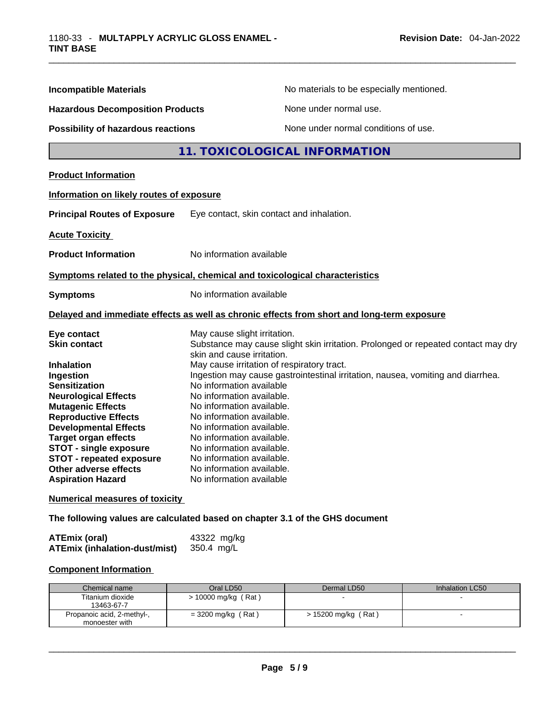| <b>Incompatible Materials</b>                       | No materials to be especially mentioned.                                                                    |
|-----------------------------------------------------|-------------------------------------------------------------------------------------------------------------|
| <b>Hazardous Decomposition Products</b>             | None under normal use.                                                                                      |
| <b>Possibility of hazardous reactions</b>           | None under normal conditions of use.                                                                        |
|                                                     | 11. TOXICOLOGICAL INFORMATION                                                                               |
| <b>Product Information</b>                          |                                                                                                             |
| Information on likely routes of exposure            |                                                                                                             |
| <b>Principal Routes of Exposure</b>                 | Eye contact, skin contact and inhalation.                                                                   |
| <b>Acute Toxicity</b>                               |                                                                                                             |
| <b>Product Information</b>                          | No information available                                                                                    |
|                                                     | Symptoms related to the physical, chemical and toxicological characteristics                                |
| <b>Symptoms</b>                                     | No information available                                                                                    |
|                                                     | Delayed and immediate effects as well as chronic effects from short and long-term exposure                  |
| Eye contact                                         | May cause slight irritation.                                                                                |
| <b>Skin contact</b>                                 | Substance may cause slight skin irritation. Prolonged or repeated contact may dry                           |
|                                                     | skin and cause irritation.                                                                                  |
| <b>Inhalation</b>                                   | May cause irritation of respiratory tract.                                                                  |
| Ingestion                                           | Ingestion may cause gastrointestinal irritation, nausea, vomiting and diarrhea.<br>No information available |
| <b>Sensitization</b><br><b>Neurological Effects</b> | No information available.                                                                                   |
| <b>Mutagenic Effects</b>                            | No information available.                                                                                   |
| <b>Reproductive Effects</b>                         | No information available.                                                                                   |
| <b>Developmental Effects</b>                        | No information available.                                                                                   |
| <b>Target organ effects</b>                         | No information available.                                                                                   |
| <b>STOT - single exposure</b>                       | No information available.                                                                                   |
| <b>STOT - repeated exposure</b>                     | No information available.                                                                                   |
| Other adverse effects                               | No information available.                                                                                   |
| <b>Aspiration Hazard</b>                            | No information available                                                                                    |
| <b>Numerical measures of toxicity</b>               |                                                                                                             |

**The following values are calculated based on chapter 3.1 of the GHS document**

| <b>ATEmix (oral)</b>                 | 43322 mg/kg |
|--------------------------------------|-------------|
| <b>ATEmix (inhalation-dust/mist)</b> | 350.4 mg/L  |

# **Component Information**

| Chemical name                                | Oral LD50             | Dermal LD50         | Inhalation LC50 |
|----------------------------------------------|-----------------------|---------------------|-----------------|
| Titanium dioxide<br>13463-67-7               | $> 10000$ mg/kg (Rat) |                     |                 |
| Propanoic acid, 2-methyl-,<br>monoester with | $=$ 3200 mg/kg (Rat)  | > 15200 mg/kg (Rat) |                 |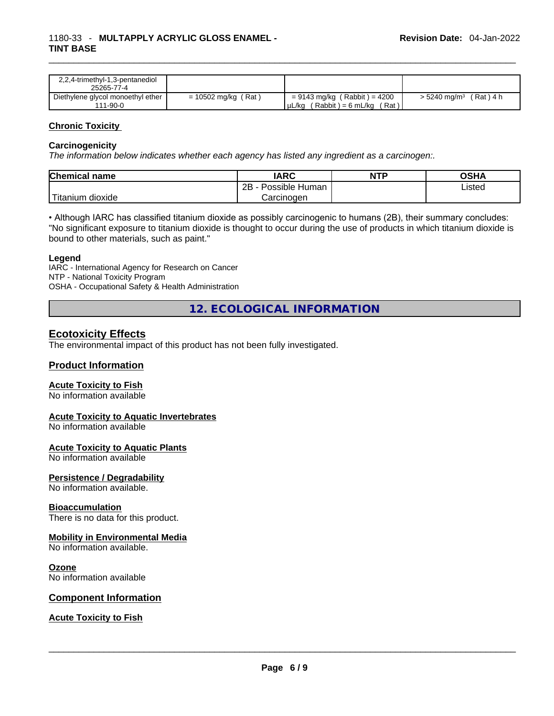| 2,2,4-trimethyl-1,3-pentanediol   |                       |                                      |                                      |
|-----------------------------------|-----------------------|--------------------------------------|--------------------------------------|
| 25265-77-4                        |                       |                                      |                                      |
| Diethylene glycol monoethyl ether | $= 10502$ mg/kg (Rat) | = 9143 mg/kg (Rabbit) = 4200         | $>$ 5240 mg/m <sup>3</sup> (Rat) 4 h |
| 111-90-0                          |                       | (Rat)<br>(Rabbit) = 6 mL/kg<br>µL/kg |                                      |

#### **Chronic Toxicity**

#### **Carcinogenicity**

*The information below indicates whether each agency has listed any ingredient as a carcinogen:.* 

| <b>Chemical name</b> | IARC                 | <b>NTP</b> | OSHA   |
|----------------------|----------------------|------------|--------|
|                      | 2B<br>Possible Human |            | ∟isted |
| Titanium<br>dioxide  | Carcinoɑen           |            |        |

• Although IARC has classified titanium dioxide as possibly carcinogenic to humans (2B), their summary concludes: "No significant exposure to titanium dioxide is thought to occur during the use of products in which titanium dioxide is bound to other materials, such as paint."

#### **Legend**

IARC - International Agency for Research on Cancer NTP - National Toxicity Program OSHA - Occupational Safety & Health Administration

**12. ECOLOGICAL INFORMATION** 

### **Ecotoxicity Effects**

The environmental impact of this product has not been fully investigated.

#### **Product Information**

#### **Acute Toxicity to Fish**

No information available

#### **Acute Toxicity to Aquatic Invertebrates**

No information available

#### **Acute Toxicity to Aquatic Plants**

No information available

#### **Persistence / Degradability**

No information available.

#### **Bioaccumulation**

There is no data for this product.

#### **Mobility in Environmental Media**

No information available.

#### **Ozone**

No information available

#### **Component Information**

#### **Acute Toxicity to Fish**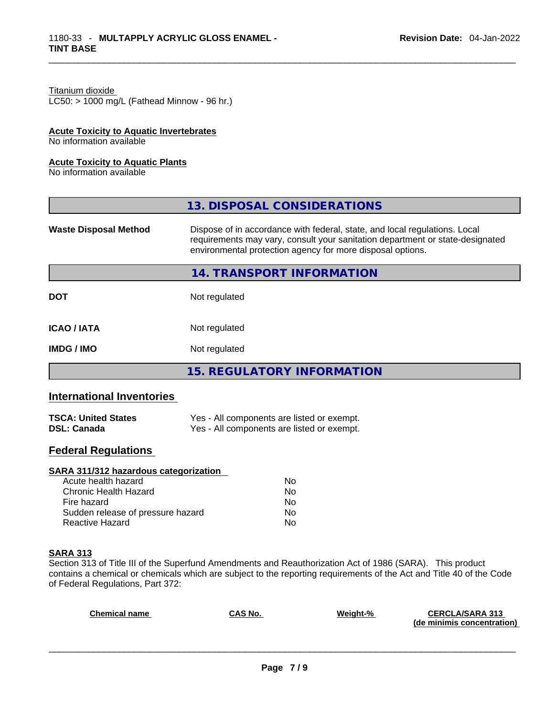#### Titanium dioxide

 $LC50:$  > 1000 mg/L (Fathead Minnow - 96 hr.)

#### **Acute Toxicity to Aquatic Invertebrates**

No information available

#### **Acute Toxicity to Aquatic Plants**

No information available

|                              | 13. DISPOSAL CONSIDERATIONS                                                                                                                                                                                               |
|------------------------------|---------------------------------------------------------------------------------------------------------------------------------------------------------------------------------------------------------------------------|
| <b>Waste Disposal Method</b> | Dispose of in accordance with federal, state, and local regulations. Local<br>requirements may vary, consult your sanitation department or state-designated<br>environmental protection agency for more disposal options. |
|                              | 14. TRANSPORT INFORMATION                                                                                                                                                                                                 |
| <b>DOT</b>                   | Not regulated                                                                                                                                                                                                             |
| <b>ICAO/IATA</b>             | Not regulated                                                                                                                                                                                                             |
| <b>IMDG / IMO</b>            | Not regulated                                                                                                                                                                                                             |
|                              | <b>15. REGULATORY INFORMATION</b>                                                                                                                                                                                         |

# **International Inventories**

| <b>TSCA: United States</b> | Yes - All components are listed or exempt. |
|----------------------------|--------------------------------------------|
| <b>DSL: Canada</b>         | Yes - All components are listed or exempt. |

# **Federal Regulations**

#### **SARA 311/312 hazardous categorization**

| Acute health hazard               | No |
|-----------------------------------|----|
| Chronic Health Hazard             | No |
| Fire hazard                       | Nο |
| Sudden release of pressure hazard | Nο |
| Reactive Hazard                   | N∩ |

#### **SARA 313**

Section 313 of Title III of the Superfund Amendments and Reauthorization Act of 1986 (SARA). This product contains a chemical or chemicals which are subject to the reporting requirements of the Act and Title 40 of the Code of Federal Regulations, Part 372:

| <b>Chemical name</b> | <b>CAS No.</b> | Weight-% | <b>CERCLA/SARA 313</b><br>(de minimis concentration) |
|----------------------|----------------|----------|------------------------------------------------------|
|                      |                |          |                                                      |
|                      |                |          |                                                      |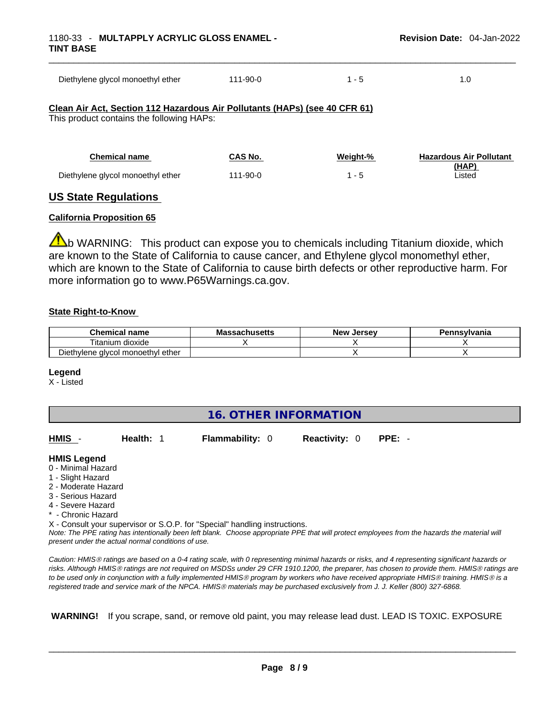| Diethylene glycol monoethyl ether                                                                                       | $111 - 90 - 0$ | $1 - 5$ | 1.0 |
|-------------------------------------------------------------------------------------------------------------------------|----------------|---------|-----|
| Clean Air Act, Section 112 Hazardous Air Pollutants (HAPs) (see 40 CFR 61)<br>This product contains the following HAPs: |                |         |     |

| <b>Chemical name</b>              | CAS No.  | Weight-% | <b>Hazardous Air Pollutant</b> |
|-----------------------------------|----------|----------|--------------------------------|
|                                   |          |          | (HAP)                          |
| Diethylene glycol monoethyl ether | 111-90-0 |          | ∟isted                         |

# **US State Regulations**

#### **California Proposition 65**

 $\triangle$ b WARNING: This product can expose you to chemicals including Titanium dioxide, which are known to the State of California to cause cancer, and Ethylene glycol monomethyl ether, which are known to the State of California to cause birth defects or other reproductive harm. For more information go to www.P65Warnings.ca.gov.

#### **State Right-to-Know**

| <b>Chemical</b><br>name           | ำ≏husetts | New<br><b>Jersev</b> | Pennsylvania |
|-----------------------------------|-----------|----------------------|--------------|
| . dioxide<br>' itanium            |           |                      |              |
| Diethylene glycol monoethyl ether |           |                      |              |

#### **Legend**

X - Listed

| HMIS -              | Health: 1                                          | <b>Flammability: 0</b>                                                     | <b>Reactivity: 0</b> | $PPE: -$                                                                                                                                                                                                                                                                                                                                                                 |  |
|---------------------|----------------------------------------------------|----------------------------------------------------------------------------|----------------------|--------------------------------------------------------------------------------------------------------------------------------------------------------------------------------------------------------------------------------------------------------------------------------------------------------------------------------------------------------------------------|--|
| <b>HMIS Legend</b>  |                                                    |                                                                            |                      |                                                                                                                                                                                                                                                                                                                                                                          |  |
| 0 - Minimal Hazard  |                                                    |                                                                            |                      |                                                                                                                                                                                                                                                                                                                                                                          |  |
| 1 - Slight Hazard   |                                                    |                                                                            |                      |                                                                                                                                                                                                                                                                                                                                                                          |  |
| 2 - Moderate Hazard |                                                    |                                                                            |                      |                                                                                                                                                                                                                                                                                                                                                                          |  |
| 3 - Serious Hazard  |                                                    |                                                                            |                      |                                                                                                                                                                                                                                                                                                                                                                          |  |
| 4 - Severe Hazard   |                                                    |                                                                            |                      |                                                                                                                                                                                                                                                                                                                                                                          |  |
| * - Chronic Hazard  |                                                    |                                                                            |                      |                                                                                                                                                                                                                                                                                                                                                                          |  |
|                     |                                                    | X - Consult your supervisor or S.O.P. for "Special" handling instructions. |                      |                                                                                                                                                                                                                                                                                                                                                                          |  |
|                     | present under the actual normal conditions of use. |                                                                            |                      | Note: The PPE rating has intentionally been left blank. Choose appropriate PPE that will protect employees from the hazards the material will                                                                                                                                                                                                                            |  |
|                     |                                                    |                                                                            |                      | $\bigcap \ldots \cup \{1,1\} \bigcap \bigcap \ldots \cup \{1,1\}$ , and $\bigcap \ldots \cup \{1,1\}$ , $\bigcap \ldots \cup \{1,1\}$ , $\bigcap \ldots \cup \{1,1\}$ , and $\bigcap \ldots \cup \{1,1\}$ , $\bigcap \ldots \cup \{1,1\}$ , $\bigcap \ldots \cup \{1,1\}$ , $\bigcap \ldots \cup \{1,1\}$ , $\bigcap \ldots \cup \{1,1\}$ , $\bigcap \ldots \cup \{1,1\$ |  |

*Caution: HMISÒ ratings are based on a 0-4 rating scale, with 0 representing minimal hazards or risks, and 4 representing significant hazards or risks. Although HMISÒ ratings are not required on MSDSs under 29 CFR 1910.1200, the preparer, has chosen to provide them. HMISÒ ratings are to be used only in conjunction with a fully implemented HMISÒ program by workers who have received appropriate HMISÒ training. HMISÒ is a registered trade and service mark of the NPCA. HMISÒ materials may be purchased exclusively from J. J. Keller (800) 327-6868.* 

 **WARNING!** If you scrape, sand, or remove old paint, you may release lead dust. LEAD IS TOXIC. EXPOSURE